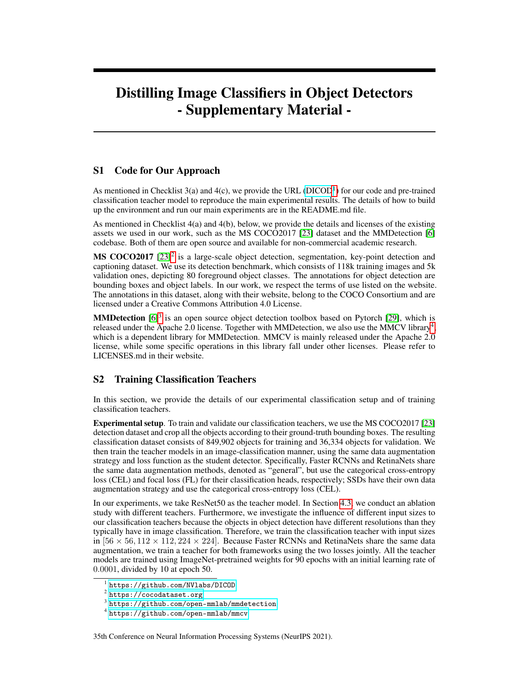# <span id="page-0-4"></span>Distilling Image Classifiers in Object Detectors - Supplementary Material -

## S1 Code for Our Approach

As mentioned in Checklist  $3(a)$  and  $4(c)$ , we provide the URL [\(DICOD](https://github.com/NVlabs/DICOD/)<sup>[1](#page-0-0)</sup>) for our code and pre-trained classification teacher model to reproduce the main experimental results. The details of how to build up the environment and run our main experiments are in the README.md file.

As mentioned in Checklist 4(a) and 4(b), below, we provide the details and licenses of the existing assets we used in our work, such as the MS COCO2017 [23] dataset and the MMDetection [6] codebase. Both of them are open source and available for non-commercial academic research.

MS COCO[2](#page-0-1)017 [23]<sup>2</sup> is a large-scale object detection, segmentation, key-point detection and captioning dataset. We use its detection benchmark, which consists of 118k training images and 5k validation ones, depicting 80 foreground object classes. The annotations for object detection are bounding boxes and object labels. In our work, we respect the terms of use listed on the website. The annotations in this dataset, along with their website, belong to the COCO Consortium and are licensed under a Creative Commons Attribution 4.0 License.

**MMDetection**  $[6]^3$  $[6]^3$  is an open source object detection toolbox based on Pytorch  $[29]$ , which is released under the Apache 2.0 license. Together with MMDetection, we also use the MMCV library<sup>[4](#page-0-3)</sup>, which is a dependent library for MMDetection. MMCV is mainly released under the Apache 2.0 license, while some specific operations in this library fall under other licenses. Please refer to LICENSES.md in their website.

## S2 Training Classification Teachers

In this section, we provide the details of our experimental classification setup and of training classification teachers.

Experimental setup. To train and validate our classification teachers, we use the MS COCO2017 [23] detection dataset and crop all the objects according to their ground-truth bounding boxes. The resulting classification dataset consists of 849,902 objects for training and 36,334 objects for validation. We then train the teacher models in an image-classification manner, using the same data augmentation strategy and loss function as the student detector. Specifically, Faster RCNNs and RetinaNets share the same data augmentation methods, denoted as "general", but use the categorical cross-entropy loss (CEL) and focal loss (FL) for their classification heads, respectively; SSDs have their own data augmentation strategy and use the categorical cross-entropy loss (CEL).

In our experiments, we take ResNet50 as the teacher model. In Section 4.3, we conduct an ablation study with different teachers. Furthermore, we investigate the influence of different input sizes to our classification teachers because the objects in object detection have different resolutions than they typically have in image classification. Therefore, we train the classification teacher with input sizes in  $[56 \times 56, 112 \times 112, 224 \times 224]$ . Because Faster RCNNs and RetinaNets share the same data augmentation, we train a teacher for both frameworks using the two losses jointly. All the teacher models are trained using ImageNet-pretrained weights for 90 epochs with an initial learning rate of 0.0001, divided by 10 at epoch 50.

35th Conference on Neural Information Processing Systems (NeurIPS 2021).

<span id="page-0-0"></span><sup>1</sup> <https://github.com/NVlabs/DICOD>

<span id="page-0-1"></span> $^{\rm 2}$  <https://cocodataset.org>

<span id="page-0-2"></span> $3$ <https://github.com/open-mmlab/mmdetection>

<span id="page-0-3"></span><sup>4</sup> <https://github.com/open-mmlab/mmcv>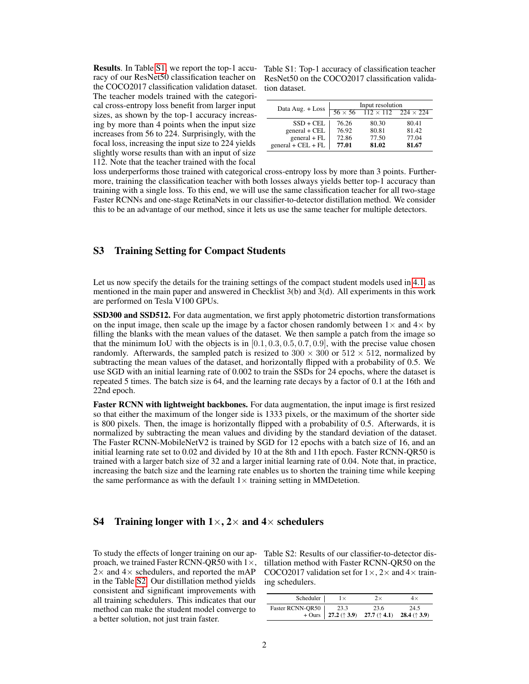Results. In Table [S1,](#page-1-0) we report the top-1 accuracy of our ResNet50 classification teacher on the COCO2017 classification validation dataset. The teacher models trained with the categorical cross-entropy loss benefit from larger input sizes, as shown by the top-1 accuracy increasing by more than 4 points when the input size increases from 56 to 224. Surprisingly, with the focal loss, increasing the input size to 224 yields slightly worse results than with an input of size 112. Note that the teacher trained with the focal

<span id="page-1-0"></span>Table S1: Top-1 accuracy of classification teacher ResNet50 on the COCO2017 classification validation dataset.

| Data Aug. + Loss     | Input resolution |                                                  |       |
|----------------------|------------------|--------------------------------------------------|-------|
|                      |                  | $56 \times 56$ $112 \times 112$ $224 \times 224$ |       |
| $SSD + CEL$          | 76.26            | 80.30                                            | 80.41 |
| general + CEL        | 76.92            | 80.81                                            | 81.42 |
| $general + FL$       | 72.86            | 77.50                                            | 77.04 |
| $general + CEL + FL$ | 77.01            | 81.02                                            | 81.67 |

loss underperforms those trained with categorical cross-entropy loss by more than 3 points. Furthermore, training the classification teacher with both losses always yields better top-1 accuracy than training with a single loss. To this end, we will use the same classification teacher for all two-stage Faster RCNNs and one-stage RetinaNets in our classifier-to-detector distillation method. We consider this to be an advantage of our method, since it lets us use the same teacher for multiple detectors.

### S3 Training Setting for Compact Students

Let us now specify the details for the training settings of the compact student models used in [4.1,](#page-0-4) as mentioned in the main paper and answered in Checklist 3(b) and 3(d). All experiments in this work are performed on Tesla V100 GPUs.

SSD300 and SSD512. For data augmentation, we first apply photometric distortion transformations on the input image, then scale up the image by a factor chosen randomly between  $1\times$  and  $4\times$  by filling the blanks with the mean values of the dataset. We then sample a patch from the image so that the minimum IoU with the objects is in  $[0.1, 0.3, 0.5, 0.7, 0.9]$ , with the precise value chosen randomly. Afterwards, the sampled patch is resized to  $300 \times 300$  or  $512 \times 512$ , normalized by subtracting the mean values of the dataset, and horizontally flipped with a probability of 0.5. We use SGD with an initial learning rate of 0.002 to train the SSDs for 24 epochs, where the dataset is repeated 5 times. The batch size is 64, and the learning rate decays by a factor of 0.1 at the 16th and 22nd epoch.

Faster RCNN with lightweight backbones. For data augmentation, the input image is first resized so that either the maximum of the longer side is 1333 pixels, or the maximum of the shorter side is 800 pixels. Then, the image is horizontally flipped with a probability of 0.5. Afterwards, it is normalized by subtracting the mean values and dividing by the standard deviation of the dataset. The Faster RCNN-MobileNetV2 is trained by SGD for 12 epochs with a batch size of 16, and an initial learning rate set to 0.02 and divided by 10 at the 8th and 11th epoch. Faster RCNN-QR50 is trained with a larger batch size of 32 and a larger initial learning rate of 0.04. Note that, in practice, increasing the batch size and the learning rate enables us to shorten the training time while keeping the same performance as with the default  $1 \times$  training setting in MMDetetion.

#### <span id="page-1-2"></span>S4 Training longer with  $1 \times$ , 2 $\times$  and 4 $\times$  schedulers

To study the effects of longer training on our approach, we trained Faster RCNN-QR50 with  $1\times$ ,  $2\times$  and  $4\times$  schedulers, and reported the mAP in the Table [S2.](#page-1-1) Our distillation method yields consistent and significant improvements with all training schedulers. This indicates that our method can make the student model converge to a better solution, not just train faster.

<span id="page-1-1"></span>Table S2: Results of our classifier-to-detector distillation method with Faster RCNN-QR50 on the COCO2017 validation set for  $1 \times$ ,  $2 \times$  and  $4 \times$  training schedulers.

| Scheduler               | 2x                                                                                    | $4\times$ |
|-------------------------|---------------------------------------------------------------------------------------|-----------|
| Faster RCNN-QR50   23.3 | 23.6<br>+ Ours   27.2 ( $\uparrow$ 3.9) 27.7 ( $\uparrow$ 4.1) 28.4 ( $\uparrow$ 3.9) | 24.5      |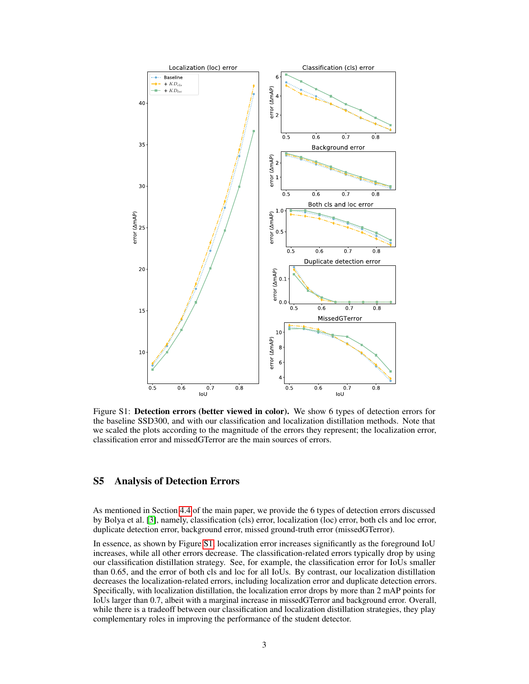<span id="page-2-0"></span>

Figure S1: Detection errors (better viewed in color). We show 6 types of detection errors for the baseline SSD300, and with our classification and localization distillation methods. Note that we scaled the plots according to the magnitude of the errors they represent; the localization error, classification error and missedGTerror are the main sources of errors.

#### <span id="page-2-1"></span>S5 Analysis of Detection Errors

As mentioned in Section [4.4](#page-0-4) of the main paper, we provide the 6 types of detection errors discussed by Bolya et al. [\[3\]](#page-0-4), namely, classification (cls) error, localization (loc) error, both cls and loc error, duplicate detection error, background error, missed ground-truth error (missedGTerror).

In essence, as shown by Figure [S1,](#page-2-0) localization error increases significantly as the foreground IoU increases, while all other errors decrease. The classification-related errors typically drop by using our classification distillation strategy. See, for example, the classification error for IoUs smaller than 0.65, and the error of both cls and loc for all IoUs. By contrast, our localization distillation decreases the localization-related errors, including localization error and duplicate detection errors. Specifically, with localization distillation, the localization error drops by more than 2 mAP points for IoUs larger than 0.7, albeit with a marginal increase in missedGTerror and background error. Overall, while there is a tradeoff between our classification and localization distillation strategies, they play complementary roles in improving the performance of the student detector.